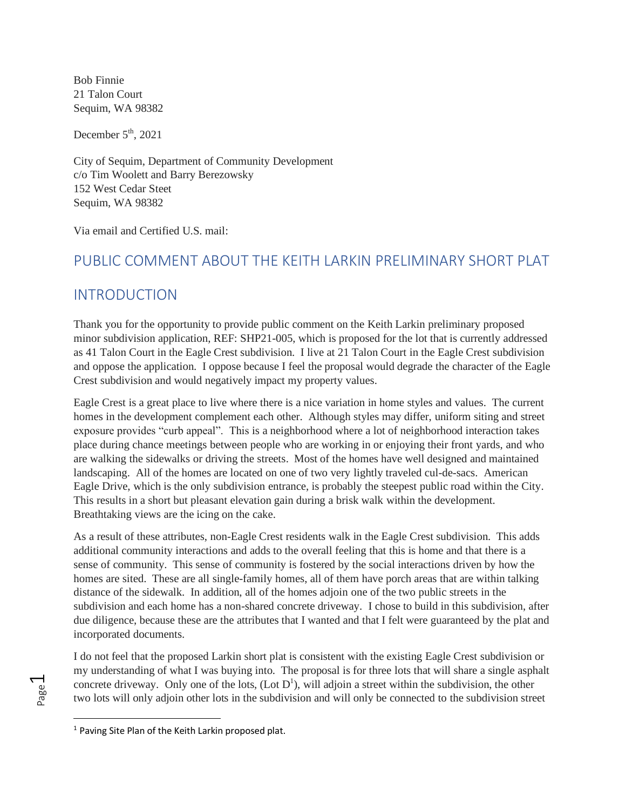Bob Finnie 21 Talon Court Sequim, WA 98382

December  $5<sup>th</sup>$ , 2021

City of Sequim, Department of Community Development c/o Tim Woolett and Barry Berezowsky 152 West Cedar Steet Sequim, WA 98382

Via email and Certified U.S. mail:

# PUBLIC COMMENT ABOUT THE KEITH LARKIN PRELIMINARY SHORT PLAT

# INTRODUCTION

Thank you for the opportunity to provide public comment on the Keith Larkin preliminary proposed minor subdivision application, REF: SHP21-005, which is proposed for the lot that is currently addressed as 41 Talon Court in the Eagle Crest subdivision. I live at 21 Talon Court in the Eagle Crest subdivision and oppose the application. I oppose because I feel the proposal would degrade the character of the Eagle Crest subdivision and would negatively impact my property values.

Eagle Crest is a great place to live where there is a nice variation in home styles and values. The current homes in the development complement each other. Although styles may differ, uniform siting and street exposure provides "curb appeal". This is a neighborhood where a lot of neighborhood interaction takes place during chance meetings between people who are working in or enjoying their front yards, and who are walking the sidewalks or driving the streets. Most of the homes have well designed and maintained landscaping. All of the homes are located on one of two very lightly traveled cul-de-sacs. American Eagle Drive, which is the only subdivision entrance, is probably the steepest public road within the City. This results in a short but pleasant elevation gain during a brisk walk within the development. Breathtaking views are the icing on the cake.

As a result of these attributes, non-Eagle Crest residents walk in the Eagle Crest subdivision. This adds additional community interactions and adds to the overall feeling that this is home and that there is a sense of community. This sense of community is fostered by the social interactions driven by how the homes are sited. These are all single-family homes, all of them have porch areas that are within talking distance of the sidewalk. In addition, all of the homes adjoin one of the two public streets in the subdivision and each home has a non-shared concrete driveway. I chose to build in this subdivision, after due diligence, because these are the attributes that I wanted and that I felt were guaranteed by the plat and incorporated documents.

I do not feel that the proposed Larkin short plat is consistent with the existing Eagle Crest subdivision or my understanding of what I was buying into. The proposal is for three lots that will share a single asphalt concrete driveway. Only one of the lots,  $($ Lot  $D<sup>1</sup>)$ , will adjoin a street within the subdivision, the other two lots will only adjoin other lots in the subdivision and will only be connected to the subdivision street

<sup>&</sup>lt;sup>1</sup> Paving Site Plan of the Keith Larkin proposed plat.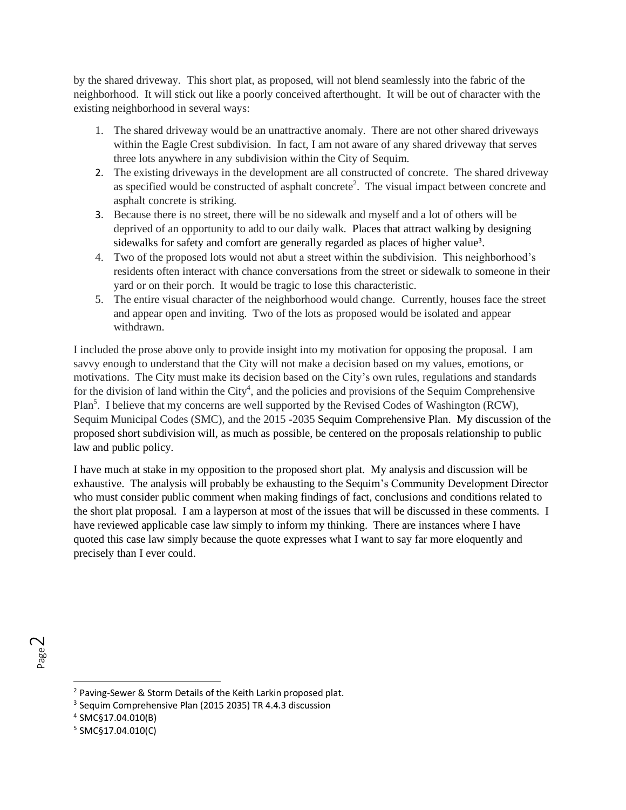by the shared driveway. This short plat, as proposed, will not blend seamlessly into the fabric of the neighborhood. It will stick out like a poorly conceived afterthought. It will be out of character with the existing neighborhood in several ways:

- 1. The shared driveway would be an unattractive anomaly. There are not other shared driveways within the Eagle Crest subdivision. In fact, I am not aware of any shared driveway that serves three lots anywhere in any subdivision within the City of Sequim.
- 2. The existing driveways in the development are all constructed of concrete. The shared driveway as specified would be constructed of asphalt concrete<sup>2</sup>. The visual impact between concrete and asphalt concrete is striking.
- 3. Because there is no street, there will be no sidewalk and myself and a lot of others will be deprived of an opportunity to add to our daily walk. Places that attract walking by designing sidewalks for safety and comfort are generally regarded as places of higher value<sup>3</sup>.
- 4. Two of the proposed lots would not abut a street within the subdivision. This neighborhood's residents often interact with chance conversations from the street or sidewalk to someone in their yard or on their porch. It would be tragic to lose this characteristic.
- 5. The entire visual character of the neighborhood would change. Currently, houses face the street and appear open and inviting. Two of the lots as proposed would be isolated and appear withdrawn.

I included the prose above only to provide insight into my motivation for opposing the proposal. I am savvy enough to understand that the City will not make a decision based on my values, emotions, or motivations. The City must make its decision based on the City's own rules, regulations and standards for the division of land within the City<sup>4</sup>, and the policies and provisions of the Sequim Comprehensive Plan<sup>5</sup>. I believe that my concerns are well supported by the Revised Codes of Washington (RCW), Sequim Municipal Codes (SMC), and the 2015 -2035 Sequim Comprehensive Plan. My discussion of the proposed short subdivision will, as much as possible, be centered on the proposals relationship to public law and public policy.

I have much at stake in my opposition to the proposed short plat. My analysis and discussion will be exhaustive. The analysis will probably be exhausting to the Sequim's Community Development Director who must consider public comment when making findings of fact, conclusions and conditions related to the short plat proposal. I am a layperson at most of the issues that will be discussed in these comments. I have reviewed applicable case law simply to inform my thinking. There are instances where I have quoted this case law simply because the quote expresses what I want to say far more eloquently and precisely than I ever could.

<sup>2</sup> Paving-Sewer & Storm Details of the Keith Larkin proposed plat.

<sup>&</sup>lt;sup>3</sup> Sequim Comprehensive Plan (2015 2035) TR 4.4.3 discussion

<sup>4</sup> SMC§17.04.010(B)

<sup>5</sup> SMC§17.04.010(C)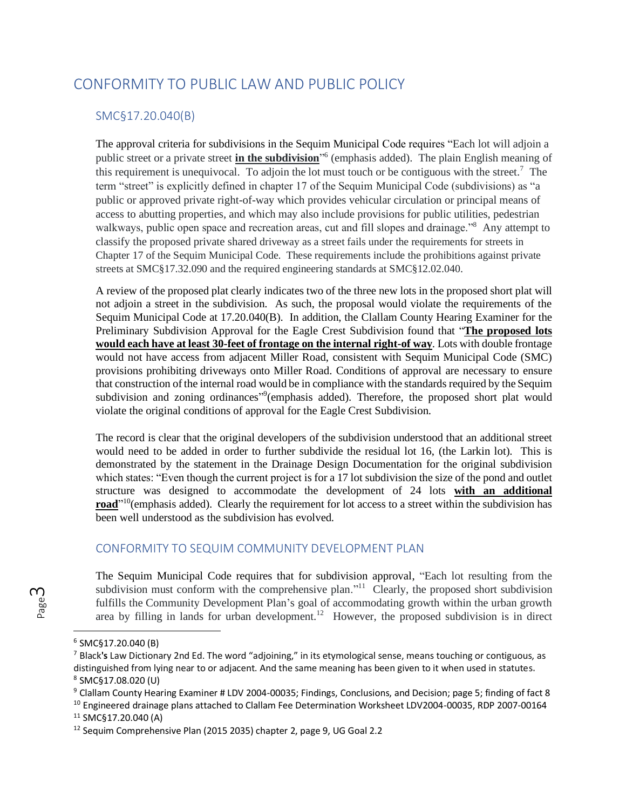# CONFORMITY TO PUBLIC LAW AND PUBLIC POLICY

#### SMC§17.20.040(B)

The approval criteria for subdivisions in the Sequim Municipal Code requires "Each lot will adjoin a public street or a private street **in the subdivision**" 6 (emphasis added). The plain English meaning of this requirement is unequivocal. To adjoin the lot must touch or be contiguous with the street.<sup>7</sup> The term "street" is explicitly defined in chapter 17 of the Sequim Municipal Code (subdivisions) as "a public or approved private right-of-way which provides vehicular circulation or principal means of access to abutting properties, and which may also include provisions for public utilities, pedestrian walkways, public open space and recreation areas, cut and fill slopes and drainage."<sup>8</sup> Any attempt to classify the proposed private shared driveway as a street fails under the requirements for streets in Chapter 17 of the Sequim Municipal Code. These requirements include the prohibitions against private streets at SMC§17.32.090 and the required engineering standards at SMC§12.02.040.

A review of the proposed plat clearly indicates two of the three new lots in the proposed short plat will not adjoin a street in the subdivision. As such, the proposal would violate the requirements of the Sequim Municipal Code at 17.20.040(B). In addition, the Clallam County Hearing Examiner for the Preliminary Subdivision Approval for the Eagle Crest Subdivision found that "**The proposed lots would each have at least 30-feet of frontage on the internal right-of way**. Lots with double frontage would not have access from adjacent Miller Road, consistent with Sequim Municipal Code (SMC) provisions prohibiting driveways onto Miller Road. Conditions of approval are necessary to ensure that construction of the internal road would be in compliance with the standards required by the Sequim subdivision and zoning ordinances"<sup>9</sup>(emphasis added). Therefore, the proposed short plat would violate the original conditions of approval for the Eagle Crest Subdivision.

The record is clear that the original developers of the subdivision understood that an additional street would need to be added in order to further subdivide the residual lot 16, (the Larkin lot). This is demonstrated by the statement in the Drainage Design Documentation for the original subdivision which states: "Even though the current project is for a 17 lot subdivision the size of the pond and outlet structure was designed to accommodate the development of 24 lots **with an additional road**<sup>"10</sup>(emphasis added). Clearly the requirement for lot access to a street within the subdivision has been well understood as the subdivision has evolved.

#### CONFORMITY TO SEQUIM COMMUNITY DEVELOPMENT PLAN

The Sequim Municipal Code requires that for subdivision approval, "Each lot resulting from the subdivision must conform with the comprehensive plan."<sup>11</sup> Clearly, the proposed short subdivision fulfills the Community Development Plan's goal of accommodating growth within the urban growth area by filling in lands for urban development.<sup>12</sup> However, the proposed subdivision is in direct

<sup>6</sup> SMC§17.20.040 (B)

<sup>7</sup> Black**'s** Law Dictionary 2nd Ed. The word "adjoining," in its etymological sense, means touching or contiguous, as distinguished from lying near to or adjacent. And the same meaning has been given to it when used in statutes**.** 8 SMC§17.08.020 (U)

 $9$  Clallam County Hearing Examiner # LDV 2004-00035; Findings, Conclusions, and Decision; page 5; finding of fact 8

<sup>&</sup>lt;sup>10</sup> Engineered drainage plans attached to Clallam Fee Determination Worksheet LDV2004-00035, RDP 2007-00164 <sup>11</sup> SMC§17.20.040 (A)

<sup>&</sup>lt;sup>12</sup> Sequim Comprehensive Plan (2015 2035) chapter 2, page 9, UG Goal 2.2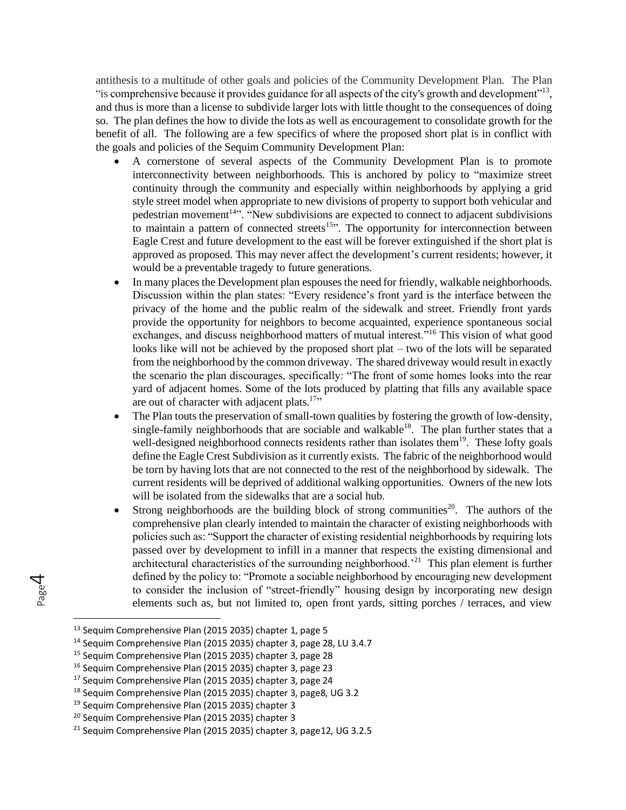antithesis to a multitude of other goals and policies of the Community Development Plan. The Plan "is comprehensive because it provides guidance for all aspects of the city's growth and development"<sup>13</sup>, and thus is more than a license to subdivide larger lots with little thought to the consequences of doing so. The plan defines the how to divide the lots as well as encouragement to consolidate growth for the benefit of all. The following are a few specifics of where the proposed short plat is in conflict with the goals and policies of the Sequim Community Development Plan:

- A cornerstone of several aspects of the Community Development Plan is to promote interconnectivity between neighborhoods. This is anchored by policy to "maximize street continuity through the community and especially within neighborhoods by applying a grid style street model when appropriate to new divisions of property to support both vehicular and pedestrian movement<sup>14</sup><sup>3</sup>. "New subdivisions are expected to connect to adjacent subdivisions to maintain a pattern of connected streets<sup>15</sup>". The opportunity for interconnection between Eagle Crest and future development to the east will be forever extinguished if the short plat is approved as proposed. This may never affect the development's current residents; however, it would be a preventable tragedy to future generations.
- In many places the Development plan espouses the need for friendly, walkable neighborhoods. Discussion within the plan states: "Every residence's front yard is the interface between the privacy of the home and the public realm of the sidewalk and street. Friendly front yards provide the opportunity for neighbors to become acquainted, experience spontaneous social exchanges, and discuss neighborhood matters of mutual interest."<sup>16</sup> This vision of what good looks like will not be achieved by the proposed short plat – two of the lots will be separated from the neighborhood by the common driveway. The shared driveway would result in exactly the scenario the plan discourages, specifically: "The front of some homes looks into the rear yard of adjacent homes. Some of the lots produced by platting that fills any available space are out of character with adjacent plats. $17$ .
- The Plan touts the preservation of small-town qualities by fostering the growth of low-density, single-family neighborhoods that are sociable and walkable<sup>18</sup>. The plan further states that a well-designed neighborhood connects residents rather than isolates them<sup>19</sup>. These lofty goals define the Eagle Crest Subdivision as it currently exists. The fabric of the neighborhood would be torn by having lots that are not connected to the rest of the neighborhood by sidewalk. The current residents will be deprived of additional walking opportunities. Owners of the new lots will be isolated from the sidewalks that are a social hub.
- Strong neighborhoods are the building block of strong communities<sup>20</sup>. The authors of the comprehensive plan clearly intended to maintain the character of existing neighborhoods with policies such as: "Support the character of existing residential neighborhoods by requiring lots passed over by development to infill in a manner that respects the existing dimensional and architectural characteristics of the surrounding neighborhood.<sup>21</sup> This plan element is further defined by the policy to: "Promote a sociable neighborhood by encouraging new development to consider the inclusion of "street-friendly" housing design by incorporating new design elements such as, but not limited to, open front yards, sitting porches / terraces, and view

Page  $\overline{\mathcal{A}}$ 

<sup>&</sup>lt;sup>13</sup> Sequim Comprehensive Plan (2015 2035) chapter 1, page 5

<sup>&</sup>lt;sup>14</sup> Sequim Comprehensive Plan (2015 2035) chapter 3, page 28, LU 3.4.7

<sup>15</sup> Sequim Comprehensive Plan (2015 2035) chapter 3, page 28

<sup>16</sup> Sequim Comprehensive Plan (2015 2035) chapter 3, page 23

<sup>17</sup> Sequim Comprehensive Plan (2015 2035) chapter 3, page 24

<sup>18</sup> Sequim Comprehensive Plan (2015 2035) chapter 3, page8, UG 3.2

<sup>19</sup> Sequim Comprehensive Plan (2015 2035) chapter 3

<sup>&</sup>lt;sup>20</sup> Sequim Comprehensive Plan (2015 2035) chapter 3

 $21$  Sequim Comprehensive Plan (2015 2035) chapter 3, page12, UG 3.2.5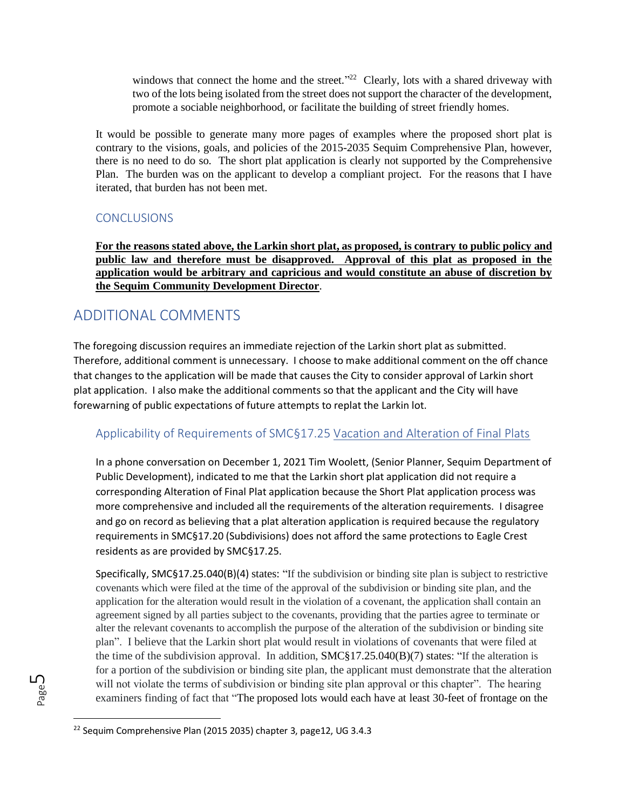windows that connect the home and the street."<sup>22</sup> Clearly, lots with a shared driveway with two of the lots being isolated from the street does not support the character of the development, promote a sociable neighborhood, or facilitate the building of street friendly homes.

It would be possible to generate many more pages of examples where the proposed short plat is contrary to the visions, goals, and policies of the 2015-2035 Sequim Comprehensive Plan, however, there is no need to do so. The short plat application is clearly not supported by the Comprehensive Plan. The burden was on the applicant to develop a compliant project. For the reasons that I have iterated, that burden has not been met.

## **CONCLUSIONS**

**For the reasons stated above, the Larkin short plat, as proposed, is contrary to public policy and public law and therefore must be disapproved. Approval of this plat as proposed in the application would be arbitrary and capricious and would constitute an abuse of discretion by the Sequim Community Development Director**.

# ADDITIONAL COMMENTS

The foregoing discussion requires an immediate rejection of the Larkin short plat as submitted. Therefore, additional comment is unnecessary. I choose to make additional comment on the off chance that changes to the application will be made that causes the City to consider approval of Larkin short plat application. I also make the additional comments so that the applicant and the City will have forewarning of public expectations of future attempts to replat the Larkin lot.

# Applicability of Requirements of SMC§17.25 Vacation and Alteration of Final Plats

In a phone conversation on December 1, 2021 Tim Woolett, (Senior Planner, Sequim Department of Public Development), indicated to me that the Larkin short plat application did not require a corresponding Alteration of Final Plat application because the Short Plat application process was more comprehensive and included all the requirements of the alteration requirements. I disagree and go on record as believing that a plat alteration application is required because the regulatory requirements in SMC§17.20 (Subdivisions) does not afford the same protections to Eagle Crest residents as are provided by SMC§17.25.

Specifically, SMC§17.25.040(B)(4) states: "If the subdivision or binding site plan is subject to restrictive covenants which were filed at the time of the approval of the subdivision or binding site plan, and the application for the alteration would result in the violation of a covenant, the application shall contain an agreement signed by all parties subject to the covenants, providing that the parties agree to terminate or alter the relevant covenants to accomplish the purpose of the alteration of the subdivision or binding site plan". I believe that the Larkin short plat would result in violations of covenants that were filed at the time of the subdivision approval. In addition, SMC§17.25.040(B)(7) states: "If the alteration is for a portion of the subdivision or binding site plan, the applicant must demonstrate that the alteration will not violate the terms of subdivision or binding site plan approval or this chapter". The hearing examiners finding of fact that "The proposed lots would each have at least 30-feet of frontage on the

<sup>&</sup>lt;sup>22</sup> Sequim Comprehensive Plan (2015 2035) chapter 3, page12, UG 3.4.3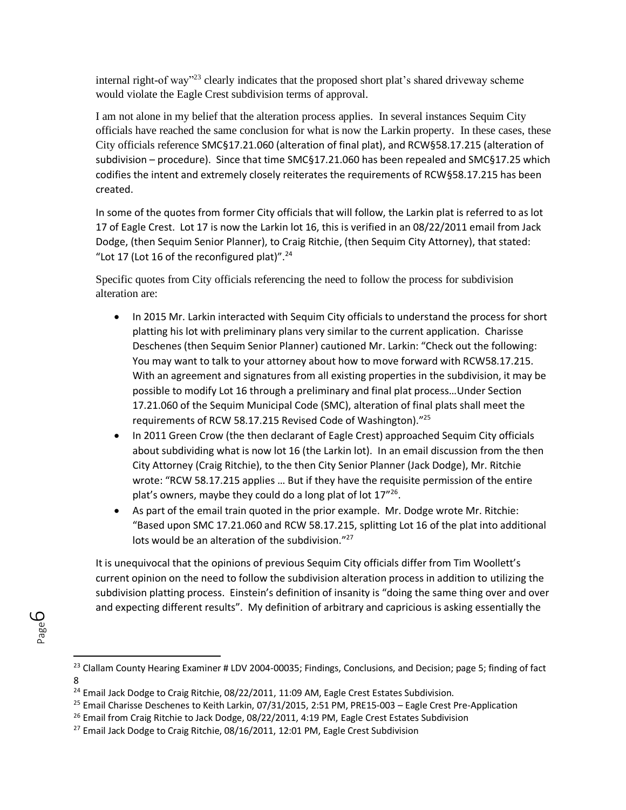internal right-of way"<sup>23</sup> clearly indicates that the proposed short plat's shared driveway scheme would violate the Eagle Crest subdivision terms of approval.

I am not alone in my belief that the alteration process applies. In several instances Sequim City officials have reached the same conclusion for what is now the Larkin property. In these cases, these City officials reference SMC§17.21.060 (alteration of final plat), and RCW§58.17.215 (alteration of subdivision – procedure). Since that time SMC§17.21.060 has been repealed and SMC§17.25 which codifies the intent and extremely closely reiterates the requirements of RCW§58.17.215 has been created.

In some of the quotes from former City officials that will follow, the Larkin plat is referred to as lot 17 of Eagle Crest. Lot 17 is now the Larkin lot 16, this is verified in an 08/22/2011 email from Jack Dodge, (then Sequim Senior Planner), to Craig Ritchie, (then Sequim City Attorney), that stated: "Lot 17 (Lot 16 of the reconfigured plat)". $^{24}$ 

Specific quotes from City officials referencing the need to follow the process for subdivision alteration are:

- In 2015 Mr. Larkin interacted with Sequim City officials to understand the process for short platting his lot with preliminary plans very similar to the current application. Charisse Deschenes (then Sequim Senior Planner) cautioned Mr. Larkin: "Check out the following: You may want to talk to your attorney about how to move forward with RCW58.17.215. With an agreement and signatures from all existing properties in the subdivision, it may be possible to modify Lot 16 through a preliminary and final plat process…Under Section 17.21.060 of the Sequim Municipal Code (SMC), alteration of final plats shall meet the requirements of RCW 58.17.215 Revised Code of Washington)."<sup>25</sup>
- In 2011 Green Crow (the then declarant of Eagle Crest) approached Sequim City officials about subdividing what is now lot 16 (the Larkin lot). In an email discussion from the then City Attorney (Craig Ritchie), to the then City Senior Planner (Jack Dodge), Mr. Ritchie wrote: "RCW 58.17.215 applies … But if they have the requisite permission of the entire plat's owners, maybe they could do a long plat of lot 17"<sup>26</sup>.
- As part of the email train quoted in the prior example. Mr. Dodge wrote Mr. Ritchie: "Based upon SMC 17.21.060 and RCW 58.17.215, splitting Lot 16 of the plat into additional lots would be an alteration of the subdivision."<sup>27</sup>

It is unequivocal that the opinions of previous Sequim City officials differ from Tim Woollett's current opinion on the need to follow the subdivision alteration process in addition to utilizing the subdivision platting process. Einstein's definition of insanity is "doing the same thing over and over and expecting different results". My definition of arbitrary and capricious is asking essentially the

 $^{23}$  Clallam County Hearing Examiner # LDV 2004-00035; Findings, Conclusions, and Decision; page 5; finding of fact 8

<sup>&</sup>lt;sup>24</sup> Email Jack Dodge to Craig Ritchie, 08/22/2011, 11:09 AM, Eagle Crest Estates Subdivision.

<sup>&</sup>lt;sup>25</sup> Email Charisse Deschenes to Keith Larkin, 07/31/2015, 2:51 PM, PRE15-003 - Eagle Crest Pre-Application

 $26$  Email from Craig Ritchie to Jack Dodge, 08/22/2011, 4:19 PM, Eagle Crest Estates Subdivision

 $27$  Email Jack Dodge to Craig Ritchie, 08/16/2011, 12:01 PM, Eagle Crest Subdivision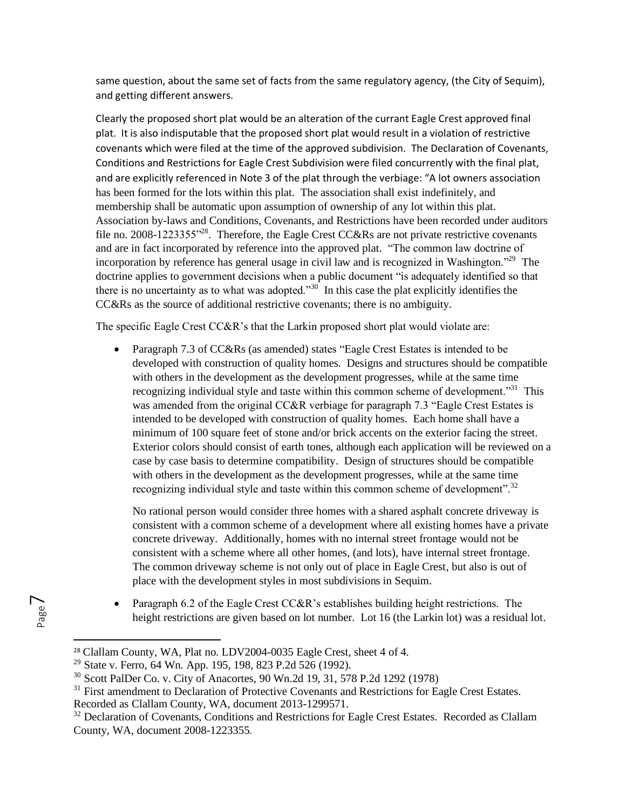same question, about the same set of facts from the same regulatory agency, (the City of Sequim), and getting different answers.

Clearly the proposed short plat would be an alteration of the currant Eagle Crest approved final plat. It is also indisputable that the proposed short plat would result in a violation of restrictive covenants which were filed at the time of the approved subdivision. The Declaration of Covenants, Conditions and Restrictions for Eagle Crest Subdivision were filed concurrently with the final plat, and are explicitly referenced in Note 3 of the plat through the verbiage: "A lot owners association has been formed for the lots within this plat. The association shall exist indefinitely, and membership shall be automatic upon assumption of ownership of any lot within this plat. Association by-laws and Conditions, Covenants, and Restrictions have been recorded under auditors file no. 2008-1223355 $<sup>128</sup>$ . Therefore, the Eagle Crest CC&Rs are not private restrictive covenants</sup> and are in fact incorporated by reference into the approved plat. "The common law doctrine of incorporation by reference has general usage in civil law and is recognized in Washington."<sup>29</sup> The doctrine applies to government decisions when a public document "is adequately identified so that there is no uncertainty as to what was adopted. $1.30$  In this case the plat explicitly identifies the CC&Rs as the source of additional restrictive covenants; there is no ambiguity.

The specific Eagle Crest CC&R's that the Larkin proposed short plat would violate are:

Paragraph 7.3 of CC&Rs (as amended) states "Eagle Crest Estates is intended to be developed with construction of quality homes. Designs and structures should be compatible with others in the development as the development progresses, while at the same time recognizing individual style and taste within this common scheme of development."<sup>31</sup> This was amended from the original CC&R verbiage for paragraph 7.3 "Eagle Crest Estates is intended to be developed with construction of quality homes. Each home shall have a minimum of 100 square feet of stone and/or brick accents on the exterior facing the street. Exterior colors should consist of earth tones, although each application will be reviewed on a case by case basis to determine compatibility. Design of structures should be compatible with others in the development as the development progresses, while at the same time recognizing individual style and taste within this common scheme of development".<sup>32</sup>

No rational person would consider three homes with a shared asphalt concrete driveway is consistent with a common scheme of a development where all existing homes have a private concrete driveway. Additionally, homes with no internal street frontage would not be consistent with a scheme where all other homes, (and lots), have internal street frontage. The common driveway scheme is not only out of place in Eagle Crest, but also is out of place with the development styles in most subdivisions in Sequim.

Paragraph 6.2 of the Eagle Crest  $CC&R$ 's establishes building height restrictions. The height restrictions are given based on lot number. Lot 16 (the Larkin lot) was a residual lot.

<sup>&</sup>lt;sup>28</sup> Clallam County, WA, Plat no. LDV2004-0035 Eagle Crest, sheet 4 of 4.

<sup>&</sup>lt;sup>29</sup> State v. Ferro, 64 Wn. App. 195, 198, 823 P.2d 526 (1992).

<sup>30</sup> Scott PalDer Co. v. City of Anacortes, 90 Wn.2d 19, 31, 578 P.2d 1292 (1978)

<sup>&</sup>lt;sup>31</sup> First amendment to Declaration of Protective Covenants and Restrictions for Eagle Crest Estates.

Recorded as Clallam County, WA, document 2013-1299571.

<sup>&</sup>lt;sup>32</sup> Declaration of Covenants, Conditions and Restrictions for Eagle Crest Estates. Recorded as Clallam County, WA, document 2008-1223355.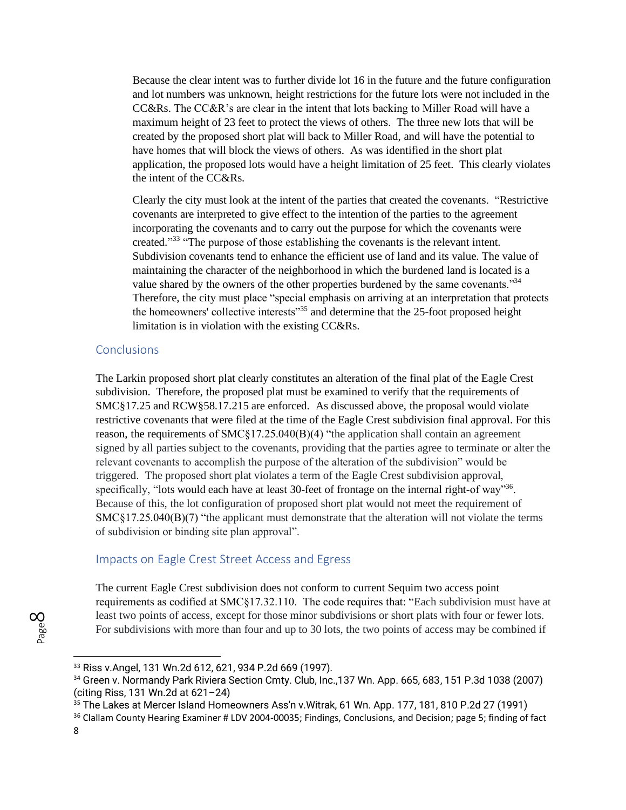Because the clear intent was to further divide lot 16 in the future and the future configuration and lot numbers was unknown, height restrictions for the future lots were not included in the  $CC&Rs$ . The  $CC&R$ 's are clear in the intent that lots backing to Miller Road will have a maximum height of 23 feet to protect the views of others. The three new lots that will be created by the proposed short plat will back to Miller Road, and will have the potential to have homes that will block the views of others. As was identified in the short plat application, the proposed lots would have a height limitation of 25 feet. This clearly violates the intent of the CC&Rs.

Clearly the city must look at the intent of the parties that created the covenants. "Restrictive covenants are interpreted to give effect to the intention of the parties to the agreement incorporating the covenants and to carry out the purpose for which the covenants were created."<sup>33</sup> "The purpose of those establishing the covenants is the relevant intent. Subdivision covenants tend to enhance the efficient use of land and its value. The value of maintaining the character of the neighborhood in which the burdened land is located is a value shared by the owners of the other properties burdened by the same covenants."<sup>34</sup> Therefore, the city must place "special emphasis on arriving at an interpretation that protects the homeowners' collective interests<sup>35</sup> and determine that the 25-foot proposed height limitation is in violation with the existing CC&Rs.

#### **Conclusions**

The Larkin proposed short plat clearly constitutes an alteration of the final plat of the Eagle Crest subdivision. Therefore, the proposed plat must be examined to verify that the requirements of SMC§17.25 and RCW§58.17.215 are enforced. As discussed above, the proposal would violate restrictive covenants that were filed at the time of the Eagle Crest subdivision final approval. For this reason, the requirements of SMC§17.25.040(B)(4) "the application shall contain an agreement signed by all parties subject to the covenants, providing that the parties agree to terminate or alter the relevant covenants to accomplish the purpose of the alteration of the subdivision" would be triggered. The proposed short plat violates a term of the Eagle Crest subdivision approval, specifically, "lots would each have at least 30-feet of frontage on the internal right-of way"<sup>36</sup>. Because of this, the lot configuration of proposed short plat would not meet the requirement of SMC§17.25.040(B)(7) "the applicant must demonstrate that the alteration will not violate the terms of subdivision or binding site plan approval".

#### Impacts on Eagle Crest Street Access and Egress

The current Eagle Crest subdivision does not conform to current Sequim two access point requirements as codified at SMC§17.32.110. The code requires that: "Each subdivision must have at least two points of access, except for those minor subdivisions or short plats with four or fewer lots. For subdivisions with more than four and up to 30 lots, the two points of access may be combined if

<sup>33</sup> Riss v.Angel, 131 Wn.2d 612, 621, 934 P.2d 669 (1997).

<sup>&</sup>lt;sup>34</sup> Green v. Normandy Park Riviera Section Cmty. Club, Inc., 137 Wn. App. 665, 683, 151 P.3d 1038 (2007) (citing Riss, 131 Wn.2d at 621–24)

<sup>35</sup> The Lakes at Mercer Island Homeowners Ass'n v.Witrak, 61 Wn. App. 177, 181, 810 P.2d 27 (1991)

<sup>&</sup>lt;sup>36</sup> Clallam County Hearing Examiner # LDV 2004-00035; Findings, Conclusions, and Decision; page 5; finding of fact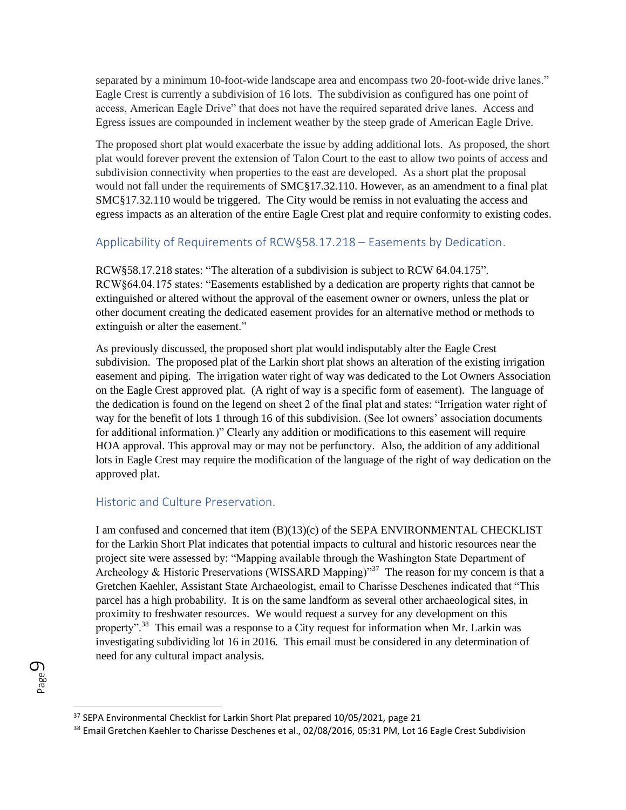separated by a minimum 10-foot-wide landscape area and encompass two 20-foot-wide drive lanes." Eagle Crest is currently a subdivision of 16 lots. The subdivision as configured has one point of access, American Eagle Drive" that does not have the required separated drive lanes. Access and Egress issues are compounded in inclement weather by the steep grade of American Eagle Drive.

The proposed short plat would exacerbate the issue by adding additional lots. As proposed, the short plat would forever prevent the extension of Talon Court to the east to allow two points of access and subdivision connectivity when properties to the east are developed. As a short plat the proposal would not fall under the requirements of SMC§17.32.110. However, as an amendment to a final plat SMC§17.32.110 would be triggered. The City would be remiss in not evaluating the access and egress impacts as an alteration of the entire Eagle Crest plat and require conformity to existing codes.

#### Applicability of Requirements of RCW§58.17.218 – Easements by Dedication.

RCW§58.17.218 states: "The alteration of a subdivision is subject to RCW 64.04.175". RCW§64.04.175 states: "Easements established by a dedication are property rights that cannot be extinguished or altered without the approval of the easement owner or owners, unless the plat or other document creating the dedicated easement provides for an alternative method or methods to extinguish or alter the easement."

As previously discussed, the proposed short plat would indisputably alter the Eagle Crest subdivision. The proposed plat of the Larkin short plat shows an alteration of the existing irrigation easement and piping. The irrigation water right of way was dedicated to the Lot Owners Association on the Eagle Crest approved plat. (A right of way is a specific form of easement). The language of the dedication is found on the legend on sheet 2 of the final plat and states: "Irrigation water right of way for the benefit of lots 1 through 16 of this subdivision. (See lot owners' association documents for additional information.)" Clearly any addition or modifications to this easement will require HOA approval. This approval may or may not be perfunctory. Also, the addition of any additional lots in Eagle Crest may require the modification of the language of the right of way dedication on the approved plat.

## Historic and Culture Preservation.

I am confused and concerned that item (B)(13)(c) of the SEPA ENVIRONMENTAL CHECKLIST for the Larkin Short Plat indicates that potential impacts to cultural and historic resources near the project site were assessed by: "Mapping available through the Washington State Department of Archeology & Historic Preservations (WISSARD Mapping)"<sup>37</sup> The reason for my concern is that a Gretchen Kaehler, Assistant State Archaeologist, email to Charisse Deschenes indicated that "This parcel has a high probability. It is on the same landform as several other archaeological sites, in proximity to freshwater resources. We would request a survey for any development on this property".<sup>38</sup> This email was a response to a City request for information when Mr. Larkin was investigating subdividing lot 16 in 2016. This email must be considered in any determination of need for any cultural impact analysis.

Page  $\mathcal O$ 

<sup>&</sup>lt;sup>37</sup> SEPA Environmental Checklist for Larkin Short Plat prepared 10/05/2021, page 21

<sup>&</sup>lt;sup>38</sup> Email Gretchen Kaehler to Charisse Deschenes et al., 02/08/2016, 05:31 PM, Lot 16 Eagle Crest Subdivision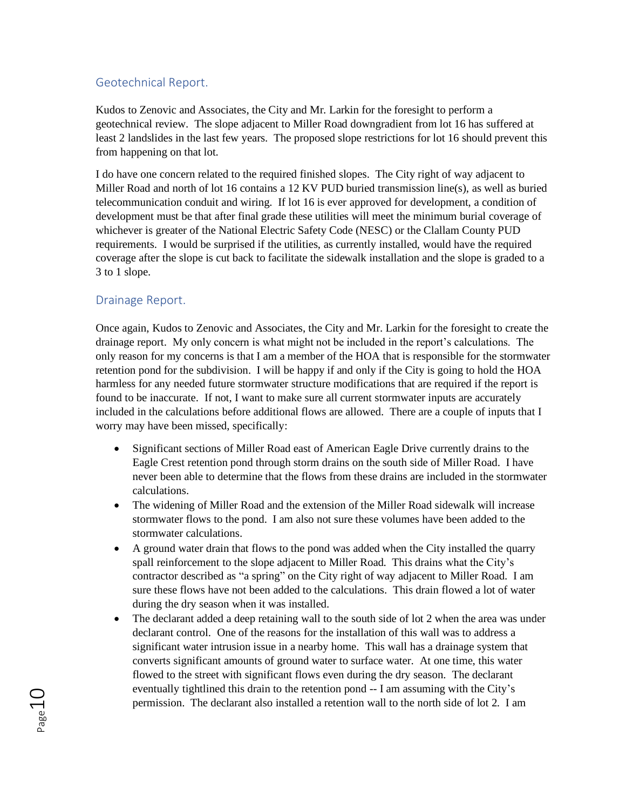#### Geotechnical Report.

Kudos to Zenovic and Associates, the City and Mr. Larkin for the foresight to perform a geotechnical review. The slope adjacent to Miller Road downgradient from lot 16 has suffered at least 2 landslides in the last few years. The proposed slope restrictions for lot 16 should prevent this from happening on that lot.

I do have one concern related to the required finished slopes. The City right of way adjacent to Miller Road and north of lot 16 contains a 12 KV PUD buried transmission line(s), as well as buried telecommunication conduit and wiring. If lot 16 is ever approved for development, a condition of development must be that after final grade these utilities will meet the minimum burial coverage of whichever is greater of the National Electric Safety Code (NESC) or the Clallam County PUD requirements. I would be surprised if the utilities, as currently installed, would have the required coverage after the slope is cut back to facilitate the sidewalk installation and the slope is graded to a 3 to 1 slope.

#### Drainage Report.

Once again, Kudos to Zenovic and Associates, the City and Mr. Larkin for the foresight to create the drainage report. My only concern is what might not be included in the report's calculations. The only reason for my concerns is that I am a member of the HOA that is responsible for the stormwater retention pond for the subdivision. I will be happy if and only if the City is going to hold the HOA harmless for any needed future stormwater structure modifications that are required if the report is found to be inaccurate. If not, I want to make sure all current stormwater inputs are accurately included in the calculations before additional flows are allowed. There are a couple of inputs that I worry may have been missed, specifically:

- Significant sections of Miller Road east of American Eagle Drive currently drains to the Eagle Crest retention pond through storm drains on the south side of Miller Road. I have never been able to determine that the flows from these drains are included in the stormwater calculations.
- The widening of Miller Road and the extension of the Miller Road sidewalk will increase stormwater flows to the pond. I am also not sure these volumes have been added to the stormwater calculations.
- A ground water drain that flows to the pond was added when the City installed the quarry spall reinforcement to the slope adjacent to Miller Road. This drains what the City's contractor described as "a spring" on the City right of way adjacent to Miller Road. I am sure these flows have not been added to the calculations. This drain flowed a lot of water during the dry season when it was installed.
- The declarant added a deep retaining wall to the south side of lot 2 when the area was under declarant control. One of the reasons for the installation of this wall was to address a significant water intrusion issue in a nearby home. This wall has a drainage system that converts significant amounts of ground water to surface water. At one time, this water flowed to the street with significant flows even during the dry season. The declarant eventually tightlined this drain to the retention pond -- I am assuming with the City's permission. The declarant also installed a retention wall to the north side of lot 2. I am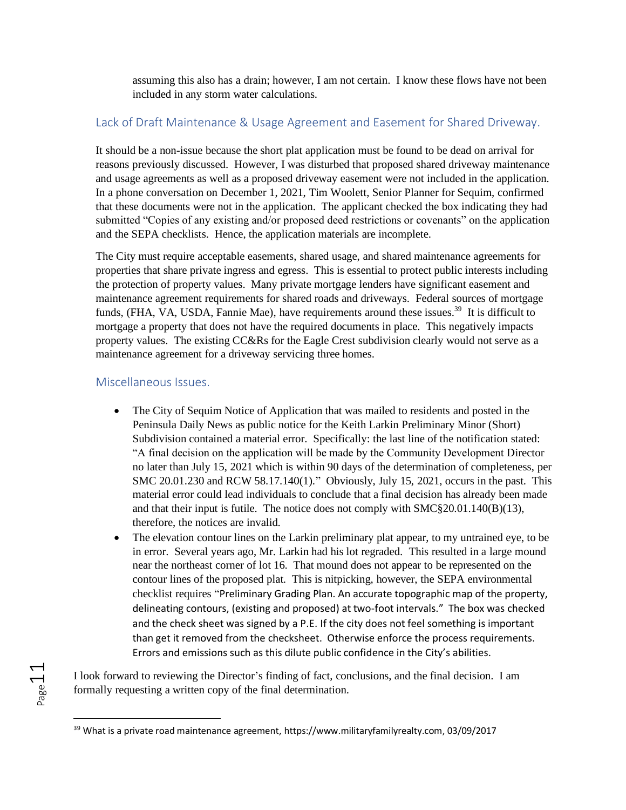assuming this also has a drain; however, I am not certain. I know these flows have not been included in any storm water calculations.

## Lack of Draft Maintenance & Usage Agreement and Easement for Shared Driveway.

It should be a non-issue because the short plat application must be found to be dead on arrival for reasons previously discussed. However, I was disturbed that proposed shared driveway maintenance and usage agreements as well as a proposed driveway easement were not included in the application. In a phone conversation on December 1, 2021, Tim Woolett, Senior Planner for Sequim, confirmed that these documents were not in the application. The applicant checked the box indicating they had submitted "Copies of any existing and/or proposed deed restrictions or covenants" on the application and the SEPA checklists. Hence, the application materials are incomplete.

The City must require acceptable easements, shared usage, and shared maintenance agreements for properties that share private ingress and egress. This is essential to protect public interests including the protection of property values. Many private mortgage lenders have significant easement and maintenance agreement requirements for shared roads and driveways. Federal sources of mortgage funds, (FHA, VA, USDA, Fannie Mae), have requirements around these issues.<sup>39</sup> It is difficult to mortgage a property that does not have the required documents in place. This negatively impacts property values. The existing CC&Rs for the Eagle Crest subdivision clearly would not serve as a maintenance agreement for a driveway servicing three homes.

#### Miscellaneous Issues.

Page11

- The City of Sequim Notice of Application that was mailed to residents and posted in the Peninsula Daily News as public notice for the Keith Larkin Preliminary Minor (Short) Subdivision contained a material error. Specifically: the last line of the notification stated: "A final decision on the application will be made by the Community Development Director no later than July 15, 2021 which is within 90 days of the determination of completeness, per SMC 20.01.230 and RCW 58.17.140(1)." Obviously, July 15, 2021, occurs in the past. This material error could lead individuals to conclude that a final decision has already been made and that their input is futile. The notice does not comply with  $\text{SMC}\$ §20.01.140(B)(13), therefore, the notices are invalid.
- The elevation contour lines on the Larkin preliminary plat appear, to my untrained eye, to be in error. Several years ago, Mr. Larkin had his lot regraded. This resulted in a large mound near the northeast corner of lot 16. That mound does not appear to be represented on the contour lines of the proposed plat. This is nitpicking, however, the SEPA environmental checklist requires "Preliminary Grading Plan. An accurate topographic map of the property, delineating contours, (existing and proposed) at two-foot intervals." The box was checked and the check sheet was signed by a P.E. If the city does not feel something is important than get it removed from the checksheet. Otherwise enforce the process requirements. Errors and emissions such as this dilute public confidence in the City's abilities.

I look forward to reviewing the Director's finding of fact, conclusions, and the final decision. I am formally requesting a written copy of the final determination.

<sup>&</sup>lt;sup>39</sup> What is a private road maintenance agreement, https://www.militaryfamilyrealty.com, 03/09/2017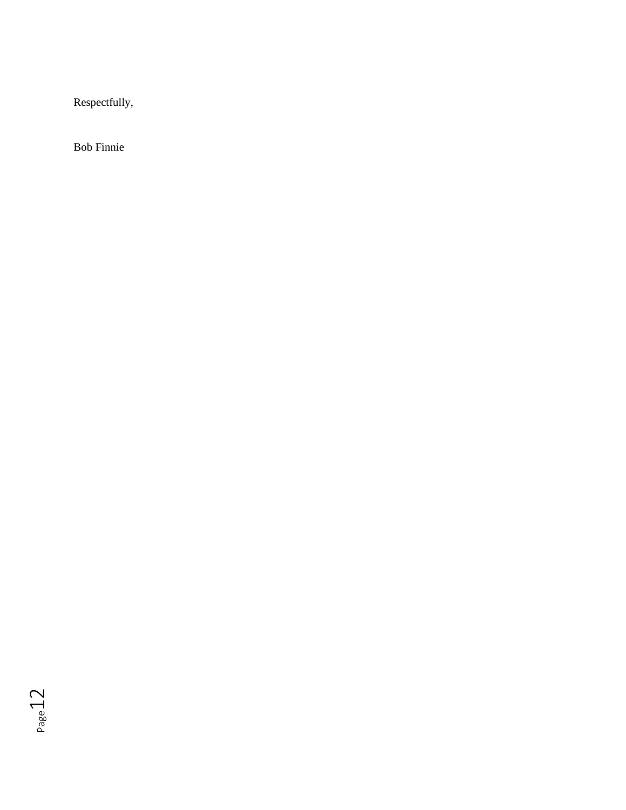Respectfully,

Bob Finnie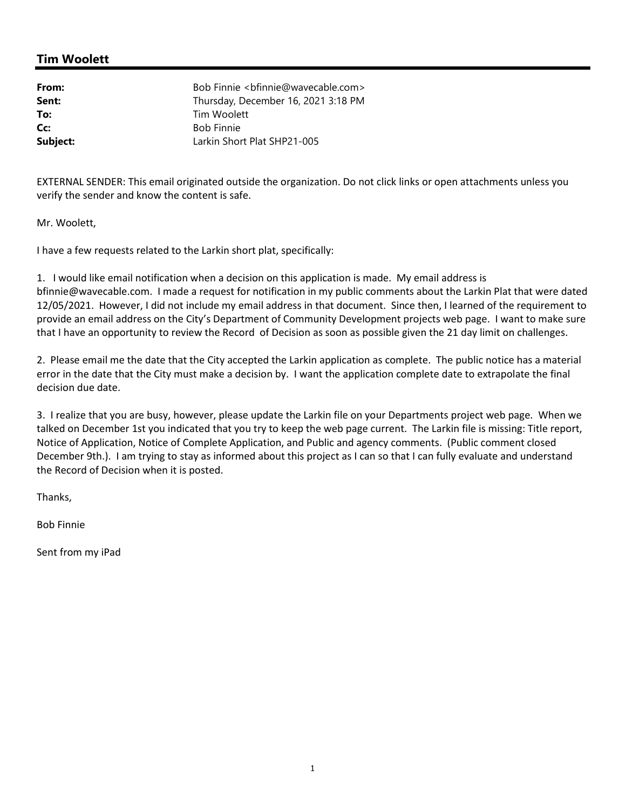## **Tim Woolett**

| From:    | Bob Finnie<br>stributional com>     |
|----------|-------------------------------------|
| Sent:    | Thursday, December 16, 2021 3:18 PM |
| To:      | Tim Woolett                         |
| Cc:      | <b>Bob Finnie</b>                   |
| Subject: | Larkin Short Plat SHP21-005         |

EXTERNAL SENDER: This email originated outside the organization. Do not click links or open attachments unless you verify the sender and know the content is safe.

Mr. Woolett,

I have a few requests related to the Larkin short plat, specifically:

1. I would like email notification when a decision on this application is made. My email address is bfinnie@wavecable.com. I made a request for notification in my public comments about the Larkin Plat that were dated 12/05/2021. However, I did not include my email address in that document. Since then, I learned of the requirement to provide an email address on the City's Department of Community Development projects web page. I want to make sure that I have an opportunity to review the Record of Decision as soon as possible given the 21 day limit on challenges.

2. Please email me the date that the City accepted the Larkin application as complete. The public notice has a material error in the date that the City must make a decision by. I want the application complete date to extrapolate the final decision due date.

3. I realize that you are busy, however, please update the Larkin file on your Departments project web page. When we talked on December 1st you indicated that you try to keep the web page current. The Larkin file is missing: Title report, Notice of Application, Notice of Complete Application, and Public and agency comments. (Public comment closed December 9th.). I am trying to stay as informed about this project as I can so that I can fully evaluate and understand the Record of Decision when it is posted.

Thanks,

Bob Finnie

Sent from my iPad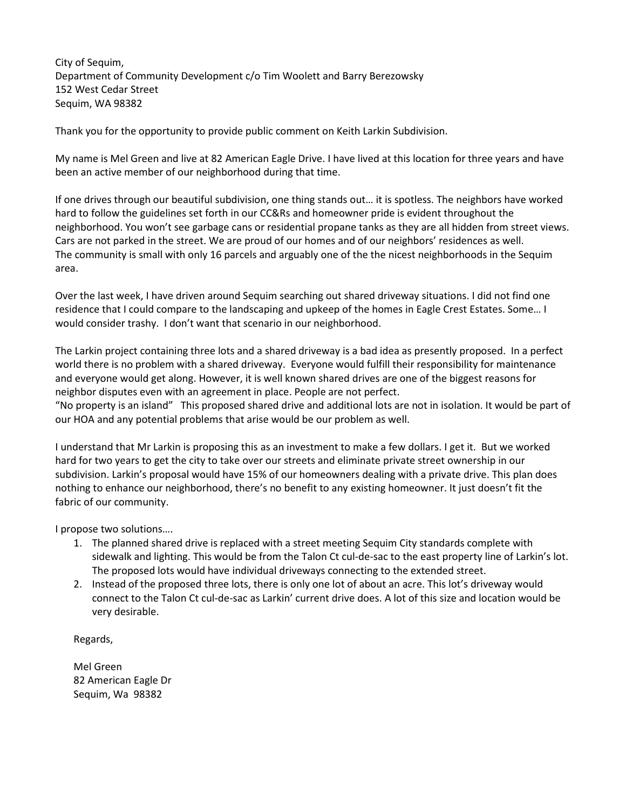City of Sequim, Department of Community Development c/o Tim Woolett and Barry Berezowsky 152 West Cedar Street Sequim, WA 98382

Thank you for the opportunity to provide public comment on Keith Larkin Subdivision.

My name is Mel Green and live at 82 American Eagle Drive. I have lived at this location for three years and have been an active member of our neighborhood during that time.

If one drives through our beautiful subdivision, one thing stands out… it is spotless. The neighbors have worked hard to follow the guidelines set forth in our CC&Rs and homeowner pride is evident throughout the neighborhood. You won't see garbage cans or residential propane tanks as they are all hidden from street views. Cars are not parked in the street. We are proud of our homes and of our neighbors' residences as well. The community is small with only 16 parcels and arguably one of the the nicest neighborhoods in the Sequim area.

Over the last week, I have driven around Sequim searching out shared driveway situations. I did not find one residence that I could compare to the landscaping and upkeep of the homes in Eagle Crest Estates. Some… I would consider trashy. I don't want that scenario in our neighborhood.

The Larkin project containing three lots and a shared driveway is a bad idea as presently proposed. In a perfect world there is no problem with a shared driveway. Everyone would fulfill their responsibility for maintenance and everyone would get along. However, it is well known shared drives are one of the biggest reasons for neighbor disputes even with an agreement in place. People are not perfect.

"No property is an island" This proposed shared drive and additional lots are not in isolation. It would be part of our HOA and any potential problems that arise would be our problem as well.

I understand that Mr Larkin is proposing this as an investment to make a few dollars. I get it. But we worked hard for two years to get the city to take over our streets and eliminate private street ownership in our subdivision. Larkin's proposal would have 15% of our homeowners dealing with a private drive. This plan does nothing to enhance our neighborhood, there's no benefit to any existing homeowner. It just doesn't fit the fabric of our community.

I propose two solutions….

- 1. The planned shared drive is replaced with a street meeting Sequim City standards complete with sidewalk and lighting. This would be from the Talon Ct cul-de-sac to the east property line of Larkin's lot. The proposed lots would have individual driveways connecting to the extended street.
- 2. Instead of the proposed three lots, there is only one lot of about an acre. This lot's driveway would connect to the Talon Ct cul-de-sac as Larkin' current drive does. A lot of this size and location would be very desirable.

Regards,

Mel Green 82 American Eagle Dr Sequim, Wa 98382